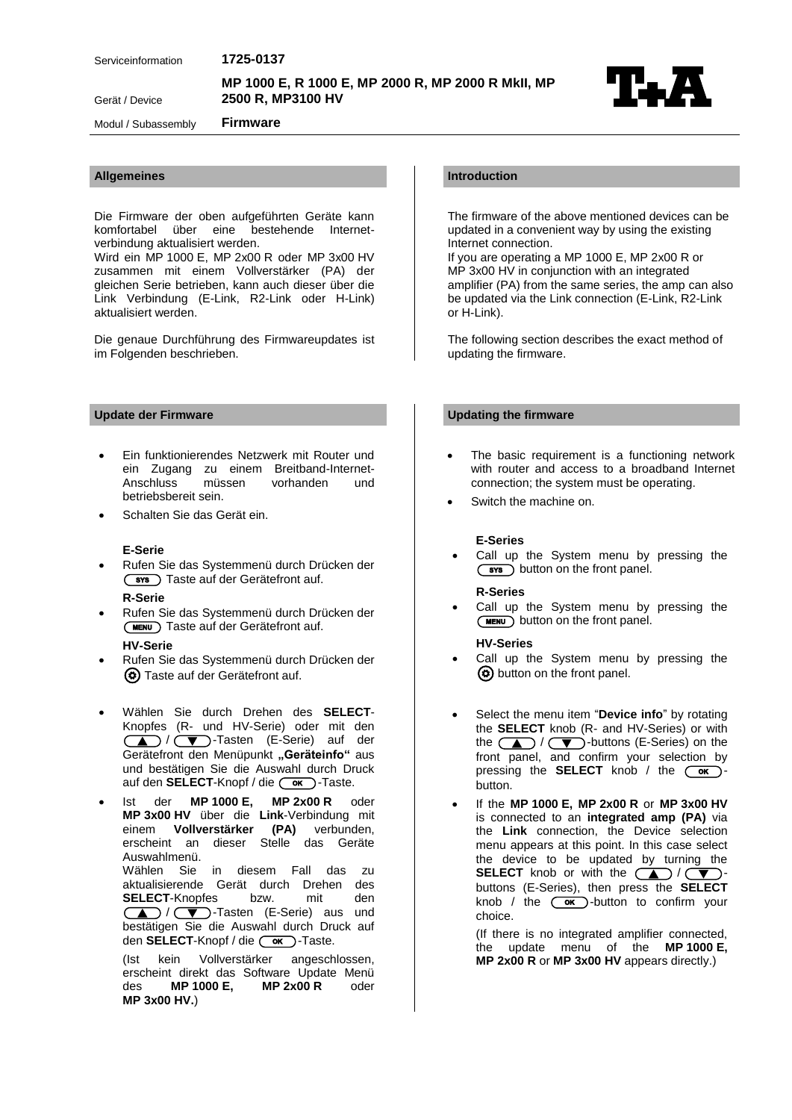Serv iceinformation **1725 -0137**

**MP 1000 2500 R , MP3100 HV** E, R 1000 E, MP 2000 R, MP 2000 R MkII, MP<br>1P3100 HV



Modul / Subassembly

Gerät / Device

Die Firmware der oben aufgeführten Geräte kann komfortabel über eine bestehende Internetverbindung aktualisiert werden.

**Firmware**

Wird ein MP 1000 E, MP 2x00 R oder MP 3x00 HV zusammen mit einem Vollverstärker (PA) der gleichen Serie betrieben, kann auch dieser über die Link Verbindung (E-Link, R2-Link oder H-Link) aktualisiert werden.

Die genaue Durchführung des Firmwareupdates ist im Folgenden beschrieben.

- Ein funktionierendes Netzwerk mit Router und ein Zugang zu einem Breitband-Internet-Anschluss müssen vorhanden und betriebsbereit sein.
- Schalten Sie das Gerät ein.

## **E-Serie**

- Rufen Sie das Systemmenü durch Drücken der **(sxs)** Taste auf der Gerätefront auf. **R-Serie**
- Rufen Sie das Systemmenü durch Drücken der (MENU) Taste auf der Gerätefront auf.

# **HV-Serie**

- Rufen Sie das Systemmenü durch Drücken der Taste auf der Gerätefront auf.
- Wählen Sie durch Drehen des **SELECT**-Knopfes (R- und HV-Serie) oder mit den (A) / **V** - Tasten (E-Serie) auf der Gerätefront den Menüpunkt "Geräteinfo" aus und bestätigen Sie die Auswahl durch Druck auf den **SELECT**-Knopf / die  $\overline{\text{Cov}}$  -Taste.
- Ist der **MP 1000 E, MP 2x00 R** oder **MP 3x00 HV** über die **Link**-Verbindung mit einem **Vollverstärker (PA)** verbunden, erscheint an dieser Stelle das Geräte Auswahlmenü. Wählen Sie in diesem Fall das zu aktualisierende Gerät durch Drehen des **SELECT** SELECT-Knopfes bzw. mit den<br>
(A) / (V)-Tasten (E-Serie) aus und bestätigen Sie die Auswahl durch Druck auf den **SELECT**-Knopf / die  $\overline{\text{ow}}$ )-Taste.

(Ist kein Vollverstärker angeschlossen, erscheint direkt das Software Update Menü<br>des **MP 1000 E.** MP 2x00 R oder des **MP 1000 E, MP 2x00 R** oder **MP 3x00 HV.**)

# **Allgemeines Introduction**

The firmware of the above mentioned devices can be updated in a convenient way by using the existing Internet connection.

If you are operating a MP 1000 E, MP 2x00 R or MP 3x00 HV in conjunction with an integrated amplifier (PA) from the same series, the amp can also be updated via the Link connection (E-Link, R2-Link or H-Link).

The following section describes the exact method of updating the firmware.

# **Update der Firmware Updating the firmware**

- The basic requirement is a functioning network with router and access to a broadband Internet connection; the system must be operating.
- Switch the machine on.

### **E-Series**

 Call up the System menu by pressing the  $(sys)$  button on the front panel.

## **R-Series**

 Call up the System menu by pressing the **(MENU)** button on the front panel.

#### **HV-Series**

- Call up the System menu by pressing the (c) button on the front panel.
- Select the menu item "**Device info**" by rotating the **SELECT** knob (R- and HV-Series) or with the  $\Box$  / $\Box$ )-buttons (E-Series) on the front panel, and confirm your selection by pressing the **SELECT** knob / the  $\overline{-\alpha}$ button.
- If the **MP 1000 E, MP 2x00 R** or **MP 3x00 HV**  is connected to an **integrated amp (PA)** via the **Link** connection, the Device selection menu appears at this point. In this case select the device to be updated by turning the **SELECT** knob or with the  $\sum$  / $\sum$ buttons (E-Series), then press the **SELECT** knob / the  $\overline{\text{Cov}}$ -button to confirm your choice.

(If there is no integrated amplifier connected, the update menu of the **MP 1000 E, MP 2x00 R** or **MP 3x00 HV** appears directly.)